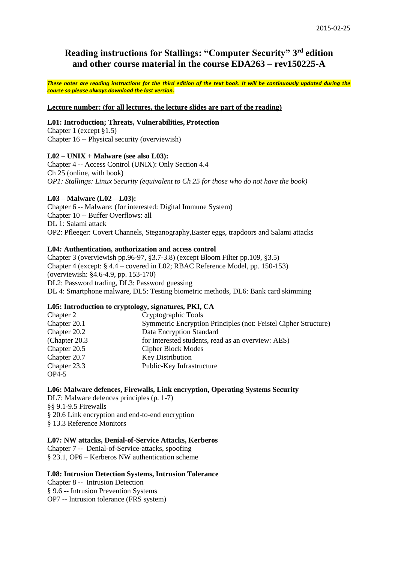# **Reading instructions for Stallings: "Computer Security" 3 rd edition and other course material in the course EDA263 – rev150225-A**

*These notes are reading instructions for the third edition of the text book. It will be continuously updated during the course so please always download the last version.*

#### **Lecture number: (for all lectures, the lecture slides are part of the reading)**

#### **L01: Introduction; Threats, Vulnerabilities, Protection**

Chapter 1 (except §1.5) Chapter 16 -- Physical security (overviewish)

### **L02 – UNIX + Malware (see also L03):**

Chapter 4 -- Access Control (UNIX): Only Section 4.4 Ch 25 (online, with book) *OP1: Stallings: Linux Security (equivalent to Ch 25 for those who do not have the book)*

### **L03 – Malware (L02—L03):**

Chapter 6 -- Malware: (for interested: Digital Immune System) Chapter 10 -- Buffer Overflows: all DL 1: Salami attack OP2: Pfleeger: Covert Channels, Steganography,Easter eggs, trapdoors and Salami attacks

### **L04: Authentication, authorization and access control**

Chapter 3 (overviewish pp.96-97, §3.7-3.8) (except Bloom Filter pp.109, §3.5) Chapter 4 (except: § 4.4 – covered in L02; RBAC Reference Model, pp. 150-153) (overviewish: §4.6-4.9, pp. 153-170) DL2: Password trading, DL3: Password guessing DL 4: Smartphone malware, DL5: Testing biometric methods, DL6: Bank card skimming

#### **L05: Introduction to cryptology, signatures, PKI, CA**

| Chapter 2      | Cryptographic Tools                                             |
|----------------|-----------------------------------------------------------------|
| Chapter 20.1   | Symmetric Encryption Principles (not: Feistel Cipher Structure) |
| Chapter 20.2   | Data Encryption Standard                                        |
| (Chapter 20.3) | for interested students, read as an overview: AES)              |
| Chapter 20.5   | Cipher Block Modes                                              |
| Chapter 20.7   | <b>Key Distribution</b>                                         |
| Chapter 23.3   | Public-Key Infrastructure                                       |
| $OP4-5$        |                                                                 |

#### **L06: Malware defences, Firewalls, Link encryption, Operating Systems Security**

DL7: Malware defences principles (p. 1-7) §§ 9.1-9.5 Firewalls § 20.6 Link encryption and end-to-end encryption § 13.3 Reference Monitors

#### **L07: NW attacks, Denial-of-Service Attacks, Kerberos**

Chapter 7 -- Denial-of-Service-attacks, spoofing § 23.1, OP6 – Kerberos NW authentication scheme

#### **L08: Intrusion Detection Systems, Intrusion Tolerance**

Chapter 8 -- Intrusion Detection § 9.6 -- Intrusion Prevention Systems OP7 -- Intrusion tolerance (FRS system)